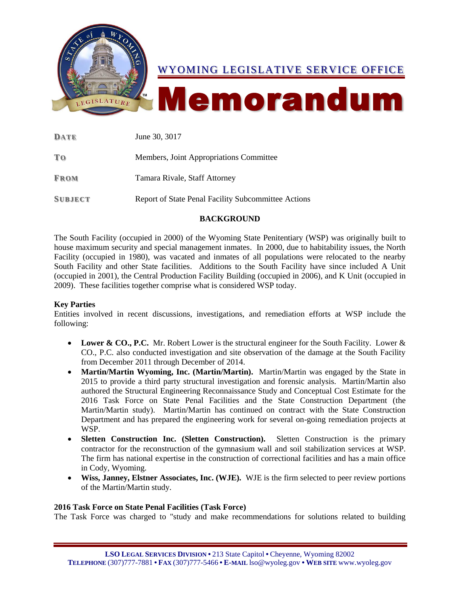

| DATE           | June 30, 3017                                       |
|----------------|-----------------------------------------------------|
| T <sub>0</sub> | Members, Joint Appropriations Committee             |
| <b>FROM</b>    | Tamara Rivale, Staff Attorney                       |
| <b>SUBJECT</b> | Report of State Penal Facility Subcommittee Actions |

# **BACKGROUND**

The South Facility (occupied in 2000) of the Wyoming State Penitentiary (WSP) was originally built to house maximum security and special management inmates. In 2000, due to habitability issues, the North Facility (occupied in 1980), was vacated and inmates of all populations were relocated to the nearby South Facility and other State facilities. Additions to the South Facility have since included A Unit (occupied in 2001), the Central Production Facility Building (occupied in 2006), and K Unit (occupied in 2009). These facilities together comprise what is considered WSP today.

# **Key Parties**

Entities involved in recent discussions, investigations, and remediation efforts at WSP include the following:

- Lower & CO., P.C. Mr. Robert Lower is the structural engineer for the South Facility. Lower & CO., P.C. also conducted investigation and site observation of the damage at the South Facility from December 2011 through December of 2014.
- **Martin/Martin Wyoming, Inc. (Martin/Martin).** Martin/Martin was engaged by the State in 2015 to provide a third party structural investigation and forensic analysis. Martin/Martin also authored the Structural Engineering Reconnaissance Study and Conceptual Cost Estimate for the 2016 Task Force on State Penal Facilities and the State Construction Department (the Martin/Martin study). Martin/Martin has continued on contract with the State Construction Department and has prepared the engineering work for several on-going remediation projects at WSP.
- **Sletten Construction Inc. (Sletten Construction).** Sletten Construction is the primary contractor for the reconstruction of the gymnasium wall and soil stabilization services at WSP. The firm has national expertise in the construction of correctional facilities and has a main office in Cody, Wyoming.
- **Wiss, Janney, Elstner Associates, Inc. (WJE).** WJE is the firm selected to peer review portions of the Martin/Martin study.

# **2016 Task Force on State Penal Facilities (Task Force)**

The Task Force was charged to "study and make recommendations for solutions related to building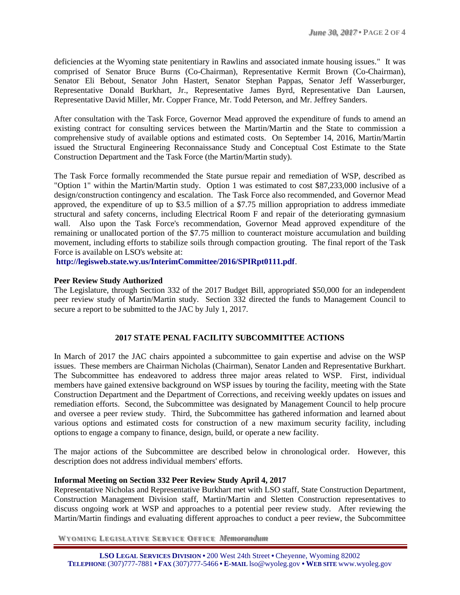deficiencies at the Wyoming state penitentiary in Rawlins and associated inmate housing issues." It was comprised of Senator Bruce Burns (Co-Chairman), Representative Kermit Brown (Co-Chairman), Senator Eli Bebout, Senator John Hastert, Senator Stephan Pappas, Senator Jeff Wasserburger, Representative Donald Burkhart, Jr., Representative James Byrd, Representative Dan Laursen, Representative David Miller, Mr. Copper France, Mr. Todd Peterson, and Mr. Jeffrey Sanders.

After consultation with the Task Force, Governor Mead approved the expenditure of funds to amend an existing contract for consulting services between the Martin/Martin and the State to commission a comprehensive study of available options and estimated costs. On September 14, 2016, Martin/Martin issued the Structural Engineering Reconnaissance Study and Conceptual Cost Estimate to the State Construction Department and the Task Force (the Martin/Martin study).

The Task Force formally recommended the State pursue repair and remediation of WSP, described as "Option 1" within the Martin/Martin study. Option 1 was estimated to cost \$87,233,000 inclusive of a design/construction contingency and escalation. The Task Force also recommended, and Governor Mead approved, the expenditure of up to \$3.5 million of a \$7.75 million appropriation to address immediate structural and safety concerns, including Electrical Room F and repair of the deteriorating gymnasium wall. Also upon the Task Force's recommendation, Governor Mead approved expenditure of the remaining or unallocated portion of the \$7.75 million to counteract moisture accumulation and building movement, including efforts to stabilize soils through compaction grouting. The final report of the Task Force is available on LSO's website at:

**<http://legisweb.state.wy.us/InterimCommittee/2016/SPIRpt0111.pdf>**.

# **Peer Review Study Authorized**

The Legislature, through Section 332 of the 2017 Budget Bill, appropriated \$50,000 for an independent peer review study of Martin/Martin study. Section 332 directed the funds to Management Council to secure a report to be submitted to the JAC by July 1, 2017.

# **2017 STATE PENAL FACILITY SUBCOMMITTEE ACTIONS**

In March of 2017 the JAC chairs appointed a subcommittee to gain expertise and advise on the WSP issues. These members are Chairman Nicholas (Chairman), Senator Landen and Representative Burkhart. The Subcommittee has endeavored to address three major areas related to WSP. First, individual members have gained extensive background on WSP issues by touring the facility, meeting with the State Construction Department and the Department of Corrections, and receiving weekly updates on issues and remediation efforts. Second, the Subcommittee was designated by Management Council to help procure and oversee a peer review study. Third, the Subcommittee has gathered information and learned about various options and estimated costs for construction of a new maximum security facility, including options to engage a company to finance, design, build, or operate a new facility.

The major actions of the Subcommittee are described below in chronological order. However, this description does not address individual members' efforts.

#### **Informal Meeting on Section 332 Peer Review Study April 4, 2017**

Representative Nicholas and Representative Burkhart met with LSO staff, State Construction Department, Construction Management Division staff, Martin/Martin and Sletten Construction representatives to discuss ongoing work at WSP and approaches to a potential peer review study. After reviewing the Martin/Martin findings and evaluating different approaches to conduct a peer review, the Subcommittee

**WYO MIN G LEG ISLAT IVE SERV ICE OFF ICE** *Memorandum*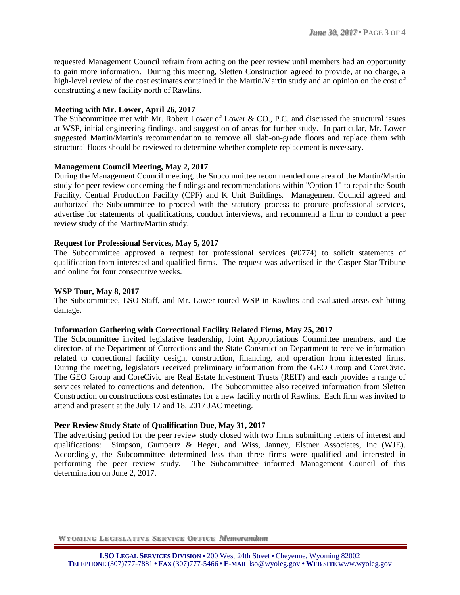requested Management Council refrain from acting on the peer review until members had an opportunity to gain more information. During this meeting, Sletten Construction agreed to provide, at no charge, a high-level review of the cost estimates contained in the Martin/Martin study and an opinion on the cost of constructing a new facility north of Rawlins.

## **Meeting with Mr. Lower, April 26, 2017**

The Subcommittee met with Mr. Robert Lower of Lower & CO., P.C. and discussed the structural issues at WSP, initial engineering findings, and suggestion of areas for further study. In particular, Mr. Lower suggested Martin/Martin's recommendation to remove all slab-on-grade floors and replace them with structural floors should be reviewed to determine whether complete replacement is necessary.

### **Management Council Meeting, May 2, 2017**

During the Management Council meeting, the Subcommittee recommended one area of the Martin/Martin study for peer review concerning the findings and recommendations within "Option 1" to repair the South Facility, Central Production Facility (CPF) and K Unit Buildings. Management Council agreed and authorized the Subcommittee to proceed with the statutory process to procure professional services, advertise for statements of qualifications, conduct interviews, and recommend a firm to conduct a peer review study of the Martin/Martin study.

### **Request for Professional Services, May 5, 2017**

The Subcommittee approved a request for professional services (#0774) to solicit statements of qualification from interested and qualified firms. The request was advertised in the Casper Star Tribune and online for four consecutive weeks.

### **WSP Tour, May 8, 2017**

The Subcommittee, LSO Staff, and Mr. Lower toured WSP in Rawlins and evaluated areas exhibiting damage.

#### **Information Gathering with Correctional Facility Related Firms, May 25, 2017**

The Subcommittee invited legislative leadership, Joint Appropriations Committee members, and the directors of the Department of Corrections and the State Construction Department to receive information related to correctional facility design, construction, financing, and operation from interested firms. During the meeting, legislators received preliminary information from the GEO Group and CoreCivic. The GEO Group and CoreCivic are Real Estate Investment Trusts (REIT) and each provides a range of services related to corrections and detention. The Subcommittee also received information from Sletten Construction on constructions cost estimates for a new facility north of Rawlins. Each firm was invited to attend and present at the July 17 and 18, 2017 JAC meeting.

#### **Peer Review Study State of Qualification Due, May 31, 2017**

The advertising period for the peer review study closed with two firms submitting letters of interest and qualifications: Simpson, Gumpertz & Heger, and Wiss, Janney, Elstner Associates, Inc (WJE). Accordingly, the Subcommittee determined less than three firms were qualified and interested in performing the peer review study. The Subcommittee informed Management Council of this determination on June 2, 2017.

**WYO MIN G LEG ISLAT IVE SERV ICE OFF ICE** *Memorandum*